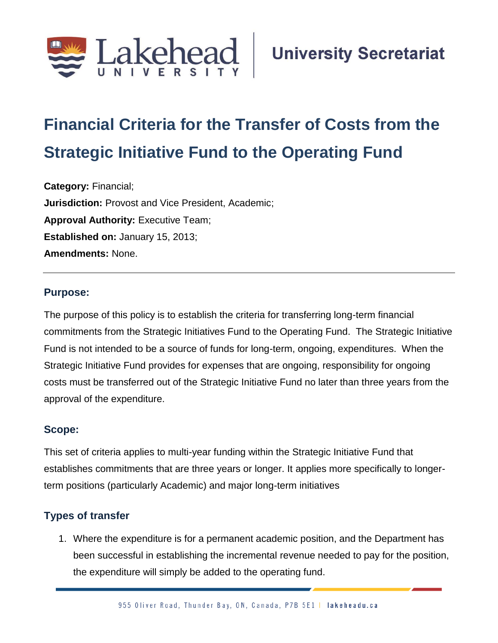

# **Financial Criteria for the Transfer of Costs from the Strategic Initiative Fund to the Operating Fund**

**Category:** Financial; **Jurisdiction:** Provost and Vice President, Academic; **Approval Authority: Executive Team; Established on:** January 15, 2013; **Amendments:** None.

#### **Purpose:**

The purpose of this policy is to establish the criteria for transferring long-term financial commitments from the Strategic Initiatives Fund to the Operating Fund. The Strategic Initiative Fund is not intended to be a source of funds for long-term, ongoing, expenditures. When the Strategic Initiative Fund provides for expenses that are ongoing, responsibility for ongoing costs must be transferred out of the Strategic Initiative Fund no later than three years from the approval of the expenditure.

#### **Scope:**

This set of criteria applies to multi-year funding within the Strategic Initiative Fund that establishes commitments that are three years or longer. It applies more specifically to longerterm positions (particularly Academic) and major long-term initiatives

## **Types of transfer**

1. Where the expenditure is for a permanent academic position, and the Department has been successful in establishing the incremental revenue needed to pay for the position, the expenditure will simply be added to the operating fund.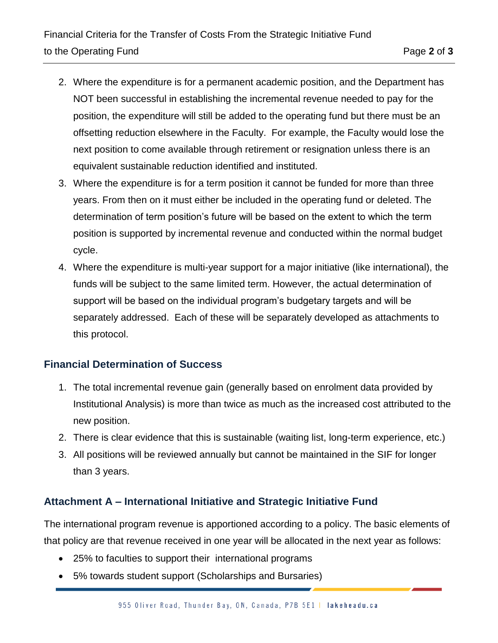- 2. Where the expenditure is for a permanent academic position, and the Department has NOT been successful in establishing the incremental revenue needed to pay for the position, the expenditure will still be added to the operating fund but there must be an offsetting reduction elsewhere in the Faculty. For example, the Faculty would lose the next position to come available through retirement or resignation unless there is an equivalent sustainable reduction identified and instituted.
- 3. Where the expenditure is for a term position it cannot be funded for more than three years. From then on it must either be included in the operating fund or deleted. The determination of term position's future will be based on the extent to which the term position is supported by incremental revenue and conducted within the normal budget cycle.
- 4. Where the expenditure is multi-year support for a major initiative (like international), the funds will be subject to the same limited term. However, the actual determination of support will be based on the individual program's budgetary targets and will be separately addressed. Each of these will be separately developed as attachments to this protocol.

## **Financial Determination of Success**

- 1. The total incremental revenue gain (generally based on enrolment data provided by Institutional Analysis) is more than twice as much as the increased cost attributed to the new position.
- 2. There is clear evidence that this is sustainable (waiting list, long-term experience, etc.)
- 3. All positions will be reviewed annually but cannot be maintained in the SIF for longer than 3 years.

## **Attachment A – International Initiative and Strategic Initiative Fund**

The international program revenue is apportioned according to a policy. The basic elements of that policy are that revenue received in one year will be allocated in the next year as follows:

- 25% to faculties to support their international programs
- 5% towards student support (Scholarships and Bursaries)